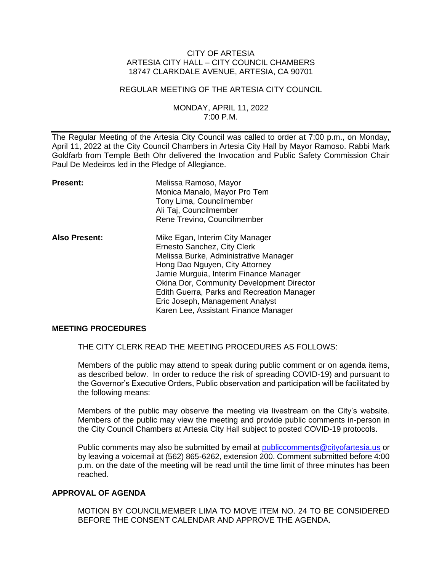### CITY OF ARTESIA ARTESIA CITY HALL – CITY COUNCIL CHAMBERS 18747 CLARKDALE AVENUE, ARTESIA, CA 90701

### REGULAR MEETING OF THE ARTESIA CITY COUNCIL

### MONDAY, APRIL 11, 2022 7:00 P.M.

The Regular Meeting of the Artesia City Council was called to order at 7:00 p.m., on Monday, April 11, 2022 at the City Council Chambers in Artesia City Hall by Mayor Ramoso. Rabbi Mark Goldfarb from Temple Beth Ohr delivered the Invocation and Public Safety Commission Chair Paul De Medeiros led in the Pledge of Allegiance.

| <b>Present:</b>      | Melissa Ramoso, Mayor<br>Monica Manalo, Mayor Pro Tem<br>Tony Lima, Councilmember<br>Ali Taj, Councilmember<br>Rene Trevino, Councilmember                                                                                                                                                                                                                       |
|----------------------|------------------------------------------------------------------------------------------------------------------------------------------------------------------------------------------------------------------------------------------------------------------------------------------------------------------------------------------------------------------|
| <b>Also Present:</b> | Mike Egan, Interim City Manager<br>Ernesto Sanchez, City Clerk<br>Melissa Burke, Administrative Manager<br>Hong Dao Nguyen, City Attorney<br>Jamie Murguia, Interim Finance Manager<br><b>Okina Dor, Community Development Director</b><br>Edith Guerra, Parks and Recreation Manager<br>Eric Joseph, Management Analyst<br>Karen Lee, Assistant Finance Manager |

### **MEETING PROCEDURES**

THE CITY CLERK READ THE MEETING PROCEDURES AS FOLLOWS:

Members of the public may attend to speak during public comment or on agenda items, as described below. In order to reduce the risk of spreading COVID-19) and pursuant to the Governor's Executive Orders, Public observation and participation will be facilitated by the following means:

Members of the public may observe the meeting via livestream on the City's website. Members of the public may view the meeting and provide public comments in-person in the City Council Chambers at Artesia City Hall subject to posted COVID-19 protocols.

Public comments may also be submitted by email at [publiccomments@cityofartesia.us](mailto:publiccomments@cityofartesia.us) or by leaving a voicemail at (562) 865-6262, extension 200. Comment submitted before 4:00 p.m. on the date of the meeting will be read until the time limit of three minutes has been reached.

## **APPROVAL OF AGENDA**

MOTION BY COUNCILMEMBER LIMA TO MOVE ITEM NO. 24 TO BE CONSIDERED BEFORE THE CONSENT CALENDAR AND APPROVE THE AGENDA.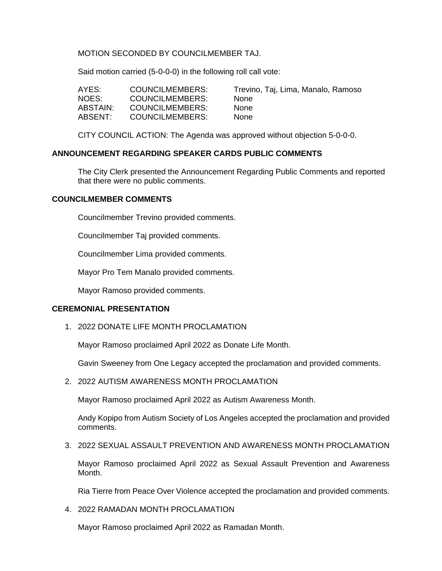MOTION SECONDED BY COUNCILMEMBER TAJ.

Said motion carried (5-0-0-0) in the following roll call vote:

| AYES:    | COUNCILMEMBERS:        | Trevino, Taj, Lima, Manalo, Ramoso |
|----------|------------------------|------------------------------------|
| NOES:    | <b>COUNCILMEMBERS:</b> | <b>None</b>                        |
| ABSTAIN: | COUNCILMEMBERS:        | <b>None</b>                        |
| ABSENT:  | COUNCILMEMBERS:        | <b>None</b>                        |

CITY COUNCIL ACTION: The Agenda was approved without objection 5-0-0-0.

## **ANNOUNCEMENT REGARDING SPEAKER CARDS PUBLIC COMMENTS**

The City Clerk presented the Announcement Regarding Public Comments and reported that there were no public comments.

### **COUNCILMEMBER COMMENTS**

Councilmember Trevino provided comments.

Councilmember Taj provided comments.

Councilmember Lima provided comments.

Mayor Pro Tem Manalo provided comments.

Mayor Ramoso provided comments.

### **CEREMONIAL PRESENTATION**

1. 2022 DONATE LIFE MONTH PROCLAMATION

Mayor Ramoso proclaimed April 2022 as Donate Life Month.

Gavin Sweeney from One Legacy accepted the proclamation and provided comments.

2. 2022 AUTISM AWARENESS MONTH PROCLAMATION

Mayor Ramoso proclaimed April 2022 as Autism Awareness Month.

Andy Kopipo from Autism Society of Los Angeles accepted the proclamation and provided comments.

3. 2022 SEXUAL ASSAULT PREVENTION AND AWARENESS MONTH PROCLAMATION

Mayor Ramoso proclaimed April 2022 as Sexual Assault Prevention and Awareness Month.

Ria Tierre from Peace Over Violence accepted the proclamation and provided comments.

4. 2022 RAMADAN MONTH PROCLAMATION

Mayor Ramoso proclaimed April 2022 as Ramadan Month.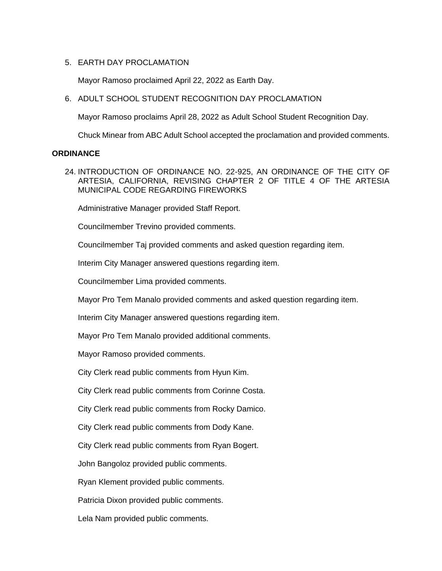## 5. EARTH DAY PROCLAMATION

Mayor Ramoso proclaimed April 22, 2022 as Earth Day.

6. ADULT SCHOOL STUDENT RECOGNITION DAY PROCLAMATION

Mayor Ramoso proclaims April 28, 2022 as Adult School Student Recognition Day.

Chuck Minear from ABC Adult School accepted the proclamation and provided comments.

### **ORDINANCE**

24. INTRODUCTION OF ORDINANCE NO. 22-925, AN ORDINANCE OF THE CITY OF ARTESIA, CALIFORNIA, REVISING CHAPTER 2 OF TITLE 4 OF THE ARTESIA MUNICIPAL CODE REGARDING FIREWORKS

Administrative Manager provided Staff Report.

Councilmember Trevino provided comments.

Councilmember Taj provided comments and asked question regarding item.

Interim City Manager answered questions regarding item.

Councilmember Lima provided comments.

Mayor Pro Tem Manalo provided comments and asked question regarding item.

Interim City Manager answered questions regarding item.

Mayor Pro Tem Manalo provided additional comments.

Mayor Ramoso provided comments.

City Clerk read public comments from Hyun Kim.

City Clerk read public comments from Corinne Costa.

City Clerk read public comments from Rocky Damico.

City Clerk read public comments from Dody Kane.

City Clerk read public comments from Ryan Bogert.

John Bangoloz provided public comments.

Ryan Klement provided public comments.

Patricia Dixon provided public comments.

Lela Nam provided public comments.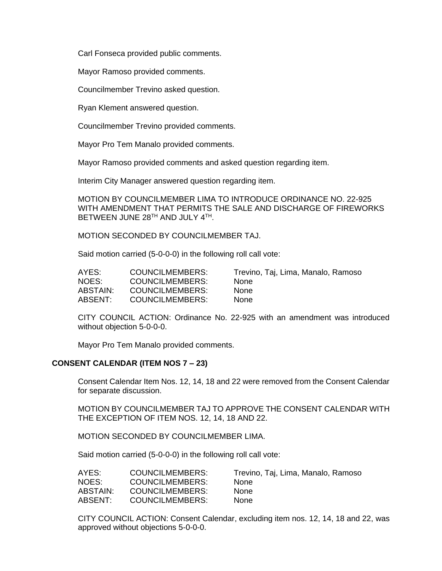Carl Fonseca provided public comments.

Mayor Ramoso provided comments.

Councilmember Trevino asked question.

Ryan Klement answered question.

Councilmember Trevino provided comments.

Mayor Pro Tem Manalo provided comments.

Mayor Ramoso provided comments and asked question regarding item.

Interim City Manager answered question regarding item.

MOTION BY COUNCILMEMBER LIMA TO INTRODUCE ORDINANCE NO. 22-925 WITH AMENDMENT THAT PERMITS THE SALE AND DISCHARGE OF FIREWORKS BETWEEN JUNE 28TH AND JULY 4TH.

MOTION SECONDED BY COUNCILMEMBER TAJ.

Said motion carried (5-0-0-0) in the following roll call vote:

| AYES:    | COUNCILMEMBERS:        | Trevino, Taj, Lima, Manalo, Ramoso |
|----------|------------------------|------------------------------------|
| NOES:    | COUNCILMEMBERS:        | <b>None</b>                        |
| ABSTAIN: | COUNCILMEMBERS:        | <b>None</b>                        |
| ABSENT:  | <b>COUNCILMEMBERS:</b> | <b>None</b>                        |

CITY COUNCIL ACTION: Ordinance No. 22-925 with an amendment was introduced without objection 5-0-0-0.

Mayor Pro Tem Manalo provided comments.

### **CONSENT CALENDAR (ITEM NOS 7 – 23)**

Consent Calendar Item Nos. 12, 14, 18 and 22 were removed from the Consent Calendar for separate discussion.

MOTION BY COUNCILMEMBER TAJ TO APPROVE THE CONSENT CALENDAR WITH THE EXCEPTION OF ITEM NOS. 12, 14, 18 AND 22.

MOTION SECONDED BY COUNCILMEMBER LIMA.

Said motion carried (5-0-0-0) in the following roll call vote:

| AYES:    | COUNCILMEMBERS: | Trevino, Taj, Lima, Manalo, Ramoso |
|----------|-----------------|------------------------------------|
| NOES:    | COUNCILMEMBERS: | <b>None</b>                        |
| ABSTAIN: | COUNCILMEMBERS: | <b>None</b>                        |
| ABSENT:  | COUNCILMEMBERS: | <b>None</b>                        |

CITY COUNCIL ACTION: Consent Calendar, excluding item nos. 12, 14, 18 and 22, was approved without objections 5-0-0-0.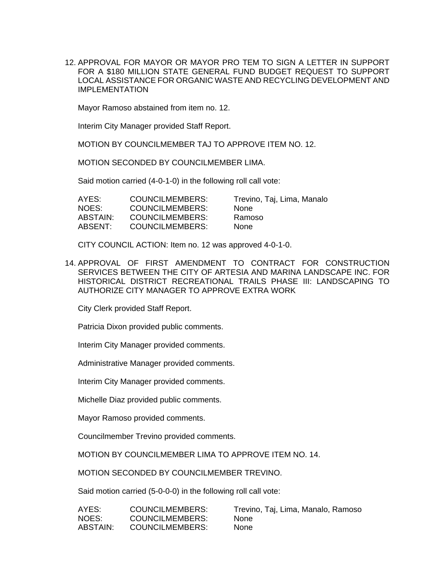12. APPROVAL FOR MAYOR OR MAYOR PRO TEM TO SIGN A LETTER IN SUPPORT FOR A \$180 MILLION STATE GENERAL FUND BUDGET REQUEST TO SUPPORT LOCAL ASSISTANCE FOR ORGANIC WASTE AND RECYCLING DEVELOPMENT AND IMPLEMENTATION

Mayor Ramoso abstained from item no. 12.

Interim City Manager provided Staff Report.

MOTION BY COUNCILMEMBER TAJ TO APPROVE ITEM NO. 12.

MOTION SECONDED BY COUNCILMEMBER LIMA.

Said motion carried (4-0-1-0) in the following roll call vote:

| COUNCILMEMBERS:        | Trevino, Taj, Lima, Manalo |
|------------------------|----------------------------|
| <b>COUNCILMEMBERS:</b> | <b>None</b>                |
| COUNCILMEMBERS:        | Ramoso                     |
| <b>COUNCILMEMBERS:</b> | <b>None</b>                |
|                        |                            |

CITY COUNCIL ACTION: Item no. 12 was approved 4-0-1-0.

14. APPROVAL OF FIRST AMENDMENT TO CONTRACT FOR CONSTRUCTION SERVICES BETWEEN THE CITY OF ARTESIA AND MARINA LANDSCAPE INC. FOR HISTORICAL DISTRICT RECREATIONAL TRAILS PHASE III: LANDSCAPING TO AUTHORIZE CITY MANAGER TO APPROVE EXTRA WORK

City Clerk provided Staff Report.

Patricia Dixon provided public comments.

Interim City Manager provided comments.

Administrative Manager provided comments.

Interim City Manager provided comments.

Michelle Diaz provided public comments.

Mayor Ramoso provided comments.

Councilmember Trevino provided comments.

MOTION BY COUNCILMEMBER LIMA TO APPROVE ITEM NO. 14.

MOTION SECONDED BY COUNCILMEMBER TREVINO.

Said motion carried (5-0-0-0) in the following roll call vote:

| AYES:    | <b>COUNCILMEMBERS:</b> | Trevino, Taj, Lima, Manalo, Ramoso |
|----------|------------------------|------------------------------------|
| NOES:    | COUNCILMEMBERS:        | <b>None</b>                        |
| ABSTAIN: | COUNCILMEMBERS:        | <b>None</b>                        |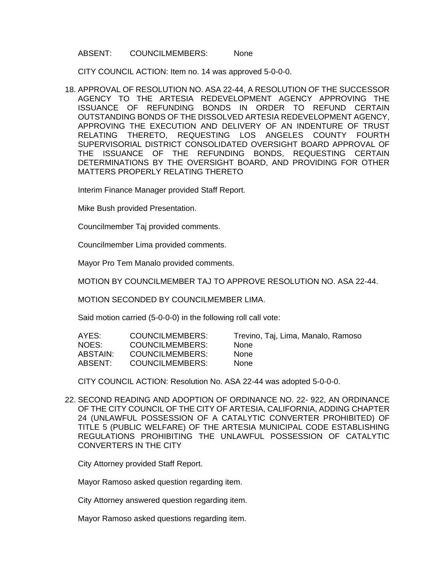#### ABSENT: COUNCILMEMBERS: None

CITY COUNCIL ACTION: Item no. 14 was approved 5-0-0-0.

18. APPROVAL OF RESOLUTION NO. ASA 22-44, A RESOLUTION OF THE SUCCESSOR AGENCY TO THE ARTESIA REDEVELOPMENT AGENCY APPROVING THE ISSUANCE OF REFUNDING BONDS IN ORDER TO REFUND CERTAIN OUTSTANDING BONDS OF THE DISSOLVED ARTESIA REDEVELOPMENT AGENCY, APPROVING THE EXECUTION AND DELIVERY OF AN INDENTURE OF TRUST RELATING THERETO, REQUESTING LOS ANGELES COUNTY FOURTH SUPERVISORIAL DISTRICT CONSOLIDATED OVERSIGHT BOARD APPROVAL OF THE ISSUANCE OF THE REFUNDING BONDS, REQUESTING CERTAIN DETERMINATIONS BY THE OVERSIGHT BOARD, AND PROVIDING FOR OTHER MATTERS PROPERLY RELATING THERETO

Interim Finance Manager provided Staff Report.

Mike Bush provided Presentation.

Councilmember Taj provided comments.

Councilmember Lima provided comments.

Mayor Pro Tem Manalo provided comments.

MOTION BY COUNCILMEMBER TAJ TO APPROVE RESOLUTION NO. ASA 22-44.

MOTION SECONDED BY COUNCILMEMBER LIMA.

Said motion carried (5-0-0-0) in the following roll call vote:

| AYES:    | COUNCILMEMBERS:        | Trevino, Taj, Lima, Manalo, Ramoso |
|----------|------------------------|------------------------------------|
| NOES:    | COUNCILMEMBERS:        | <b>None</b>                        |
| ABSTAIN: | COUNCILMEMBERS:        | <b>None</b>                        |
| ABSENT:  | <b>COUNCILMEMBERS:</b> | <b>None</b>                        |

CITY COUNCIL ACTION: Resolution No. ASA 22-44 was adopted 5-0-0-0.

22. SECOND READING AND ADOPTION OF ORDINANCE NO. 22- 922, AN ORDINANCE OF THE CITY COUNCIL OF THE CITY OF ARTESIA, CALIFORNIA, ADDING CHAPTER 24 (UNLAWFUL POSSESSION OF A CATALYTIC CONVERTER PROHIBITED) OF TITLE 5 (PUBLIC WELFARE) OF THE ARTESIA MUNICIPAL CODE ESTABLISHING REGULATIONS PROHIBITING THE UNLAWFUL POSSESSION OF CATALYTIC CONVERTERS IN THE CITY

City Attorney provided Staff Report.

Mayor Ramoso asked question regarding item.

City Attorney answered question regarding item.

Mayor Ramoso asked questions regarding item.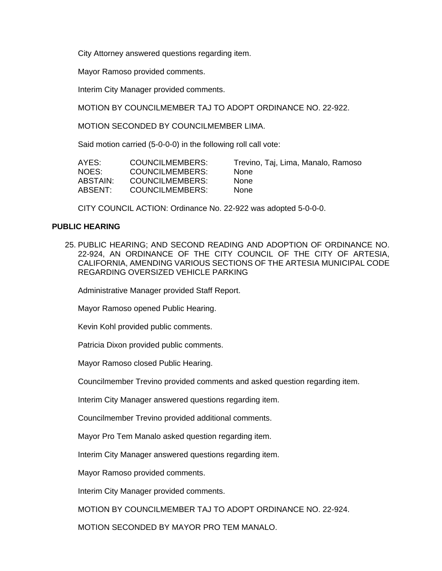City Attorney answered questions regarding item.

Mayor Ramoso provided comments.

Interim City Manager provided comments.

MOTION BY COUNCILMEMBER TAJ TO ADOPT ORDINANCE NO. 22-922.

MOTION SECONDED BY COUNCILMEMBER LIMA.

Said motion carried (5-0-0-0) in the following roll call vote:

| AYES:    | COUNCILMEMBERS: | Trevino, Taj, Lima, Manalo, Ramoso |
|----------|-----------------|------------------------------------|
| NOES:    | COUNCILMEMBERS: | <b>None</b>                        |
| ABSTAIN: | COUNCILMEMBERS: | <b>None</b>                        |
| ABSENT:  | COUNCILMEMBERS: | <b>None</b>                        |

CITY COUNCIL ACTION: Ordinance No. 22-922 was adopted 5-0-0-0.

### **PUBLIC HEARING**

25. PUBLIC HEARING; AND SECOND READING AND ADOPTION OF ORDINANCE NO. 22-924, AN ORDINANCE OF THE CITY COUNCIL OF THE CITY OF ARTESIA, CALIFORNIA, AMENDING VARIOUS SECTIONS OF THE ARTESIA MUNICIPAL CODE REGARDING OVERSIZED VEHICLE PARKING

Administrative Manager provided Staff Report.

Mayor Ramoso opened Public Hearing.

Kevin Kohl provided public comments.

Patricia Dixon provided public comments.

Mayor Ramoso closed Public Hearing.

Councilmember Trevino provided comments and asked question regarding item.

Interim City Manager answered questions regarding item.

Councilmember Trevino provided additional comments.

Mayor Pro Tem Manalo asked question regarding item.

Interim City Manager answered questions regarding item.

Mayor Ramoso provided comments.

Interim City Manager provided comments.

MOTION BY COUNCILMEMBER TAJ TO ADOPT ORDINANCE NO. 22-924.

MOTION SECONDED BY MAYOR PRO TEM MANALO.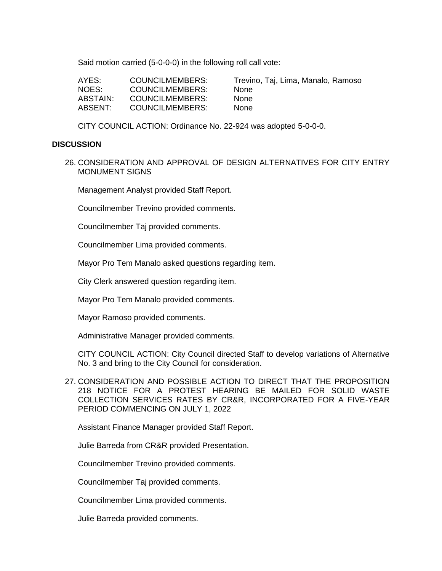Said motion carried (5-0-0-0) in the following roll call vote:

| AYES:    | COUNCILMEMBERS: | Trevii |
|----------|-----------------|--------|
| NOES:    | COUNCILMEMBERS: | None   |
| ABSTAIN: | COUNCILMEMBERS: | None   |
| ABSENT:  | COUNCILMEMBERS: | None   |

Trevino, Taj, Lima, Manalo, Ramoso

CITY COUNCIL ACTION: Ordinance No. 22-924 was adopted 5-0-0-0.

#### **DISCUSSION**

26. CONSIDERATION AND APPROVAL OF DESIGN ALTERNATIVES FOR CITY ENTRY MONUMENT SIGNS

Management Analyst provided Staff Report.

Councilmember Trevino provided comments.

Councilmember Taj provided comments.

Councilmember Lima provided comments.

Mayor Pro Tem Manalo asked questions regarding item.

City Clerk answered question regarding item.

Mayor Pro Tem Manalo provided comments.

Mayor Ramoso provided comments.

Administrative Manager provided comments.

CITY COUNCIL ACTION: City Council directed Staff to develop variations of Alternative No. 3 and bring to the City Council for consideration.

27. CONSIDERATION AND POSSIBLE ACTION TO DIRECT THAT THE PROPOSITION 218 NOTICE FOR A PROTEST HEARING BE MAILED FOR SOLID WASTE COLLECTION SERVICES RATES BY CR&R, INCORPORATED FOR A FIVE-YEAR PERIOD COMMENCING ON JULY 1, 2022

Assistant Finance Manager provided Staff Report.

Julie Barreda from CR&R provided Presentation.

Councilmember Trevino provided comments.

Councilmember Taj provided comments.

Councilmember Lima provided comments.

Julie Barreda provided comments.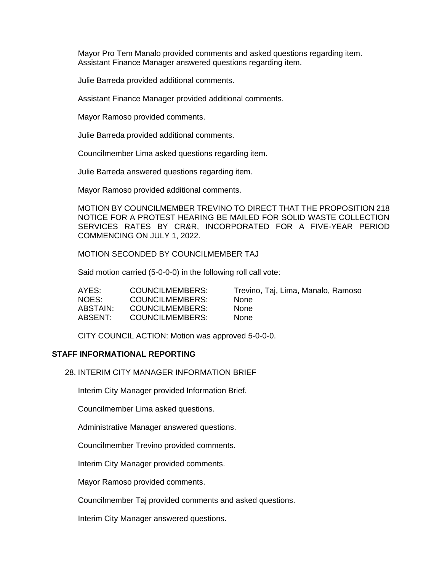Mayor Pro Tem Manalo provided comments and asked questions regarding item. Assistant Finance Manager answered questions regarding item.

Julie Barreda provided additional comments.

Assistant Finance Manager provided additional comments.

Mayor Ramoso provided comments.

Julie Barreda provided additional comments.

Councilmember Lima asked questions regarding item.

Julie Barreda answered questions regarding item.

Mayor Ramoso provided additional comments.

MOTION BY COUNCILMEMBER TREVINO TO DIRECT THAT THE PROPOSITION 218 NOTICE FOR A PROTEST HEARING BE MAILED FOR SOLID WASTE COLLECTION SERVICES RATES BY CR&R, INCORPORATED FOR A FIVE-YEAR PERIOD COMMENCING ON JULY 1, 2022.

MOTION SECONDED BY COUNCILMEMBER TAJ

Said motion carried (5-0-0-0) in the following roll call vote:

| AYES:    | COUNCILMEMBERS: | Trevino, Taj, Lima, Manalo, Ramoso |
|----------|-----------------|------------------------------------|
| NOES:    | COUNCILMEMBERS: | <b>None</b>                        |
| ABSTAIN: | COUNCILMEMBERS: | <b>None</b>                        |
| ABSENT:  | COUNCILMEMBERS: | <b>None</b>                        |

CITY COUNCIL ACTION: Motion was approved 5-0-0-0.

### **STAFF INFORMATIONAL REPORTING**

28. INTERIM CITY MANAGER INFORMATION BRIEF

Interim City Manager provided Information Brief.

Councilmember Lima asked questions.

Administrative Manager answered questions.

Councilmember Trevino provided comments.

Interim City Manager provided comments.

Mayor Ramoso provided comments.

Councilmember Taj provided comments and asked questions.

Interim City Manager answered questions.